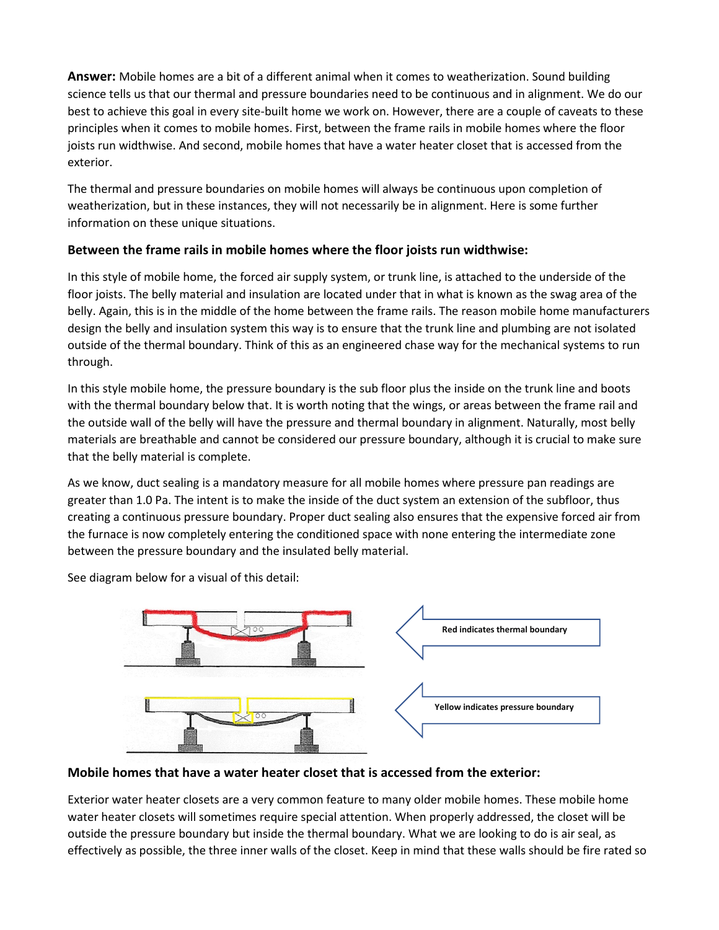**Answer:** Mobile homes are a bit of a different animal when it comes to weatherization. Sound building science tells us that our thermal and pressure boundaries need to be continuous and in alignment. We do our best to achieve this goal in every site-built home we work on. However, there are a couple of caveats to these principles when it comes to mobile homes. First, between the frame rails in mobile homes where the floor joists run widthwise. And second, mobile homes that have a water heater closet that is accessed from the exterior.

The thermal and pressure boundaries on mobile homes will always be continuous upon completion of weatherization, but in these instances, they will not necessarily be in alignment. Here is some further information on these unique situations.

## **Between the frame rails in mobile homes where the floor joists run widthwise:**

In this style of mobile home, the forced air supply system, or trunk line, is attached to the underside of the floor joists. The belly material and insulation are located under that in what is known as the swag area of the belly. Again, this is in the middle of the home between the frame rails. The reason mobile home manufacturers design the belly and insulation system this way is to ensure that the trunk line and plumbing are not isolated outside of the thermal boundary. Think of this as an engineered chase way for the mechanical systems to run through.

In this style mobile home, the pressure boundary is the sub floor plus the inside on the trunk line and boots with the thermal boundary below that. It is worth noting that the wings, or areas between the frame rail and the outside wall of the belly will have the pressure and thermal boundary in alignment. Naturally, most belly materials are breathable and cannot be considered our pressure boundary, although it is crucial to make sure that the belly material is complete.

As we know, duct sealing is a mandatory measure for all mobile homes where pressure pan readings are greater than 1.0 Pa. The intent is to make the inside of the duct system an extension of the subfloor, thus creating a continuous pressure boundary. Proper duct sealing also ensures that the expensive forced air from the furnace is now completely entering the conditioned space with none entering the intermediate zone between the pressure boundary and the insulated belly material.

See diagram below for a visual of this detail:



## **Mobile homes that have a water heater closet that is accessed from the exterior:**

Exterior water heater closets are a very common feature to many older mobile homes. These mobile home water heater closets will sometimes require special attention. When properly addressed, the closet will be outside the pressure boundary but inside the thermal boundary. What we are looking to do is air seal, as effectively as possible, the three inner walls of the closet. Keep in mind that these walls should be fire rated so